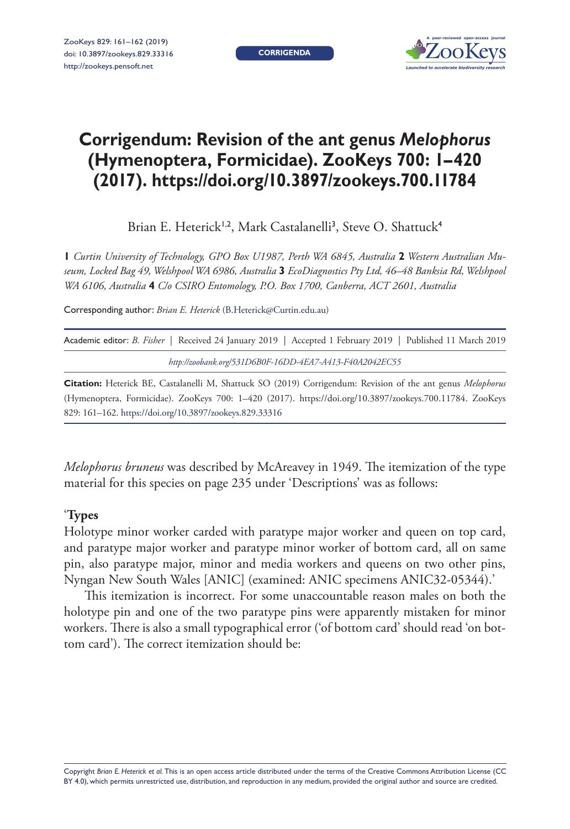**CORRIGENDA**



## **Corrigendum: Revision of the ant genus** *Melophorus* **(Hymenoptera, Formicidae). ZooKeys 700: 1–420 (2017). <https://doi.org/10.3897/zookeys.700.11784>**

Brian E. Heterick<sup>1,2</sup>, Mark Castalanelli<sup>3</sup>, Steve O. Shattuck<sup>4</sup>

**1** *Curtin University of Technology, GPO Box U1987, Perth WA 6845, Australia* **2** *Western Australian Museum, Locked Bag 49, Welshpool WA 6986, Australia* **3** *EcoDiagnostics Pty Ltd, 46–48 Banksia Rd, Welshpool WA 6106, Australia* **4** *C/o CSIRO Entomology, P.O. Box 1700, Canberra, ACT 2601, Australia*

Corresponding author: *Brian E. Heterick* [\(B.Heterick@Curtin.edu.au\)](mailto:B.Heterick@Curtin.edu.au)

| Academic editor: B. Fisher   Received 24 January 2019   Accepted 1 February 2019   Published 11 March 2019 |  |
|------------------------------------------------------------------------------------------------------------|--|
| http://zoobank.org/531D6B0F-16DD-4EA7-A413-F40A2042EC55                                                    |  |

**Citation:** Heterick BE, Castalanelli M, Shattuck SO (2019) Corrigendum: Revision of the ant genus *Melophorus* (Hymenoptera, Formicidae). ZooKeys 700: 1–420 (2017). <https://doi.org/10.3897/zookeys.700.11784>. ZooKeys 829: 161–162.<https://doi.org/10.3897/zookeys.829.33316>

*Melophorus bruneus* was described by McAreavey in 1949. The itemization of the type material for this species on page 235 under 'Descriptions' was as follows:

## '**Types**

Holotype minor worker carded with paratype major worker and queen on top card, and paratype major worker and paratype minor worker of bottom card, all on same pin, also paratype major, minor and media workers and queens on two other pins, Nyngan New South Wales [ANIC] (examined: ANIC specimens ANIC32-05344).'

This itemization is incorrect. For some unaccountable reason males on both the holotype pin and one of the two paratype pins were apparently mistaken for minor workers. There is also a small typographical error ('of bottom card' should read 'on bottom card'). The correct itemization should be: